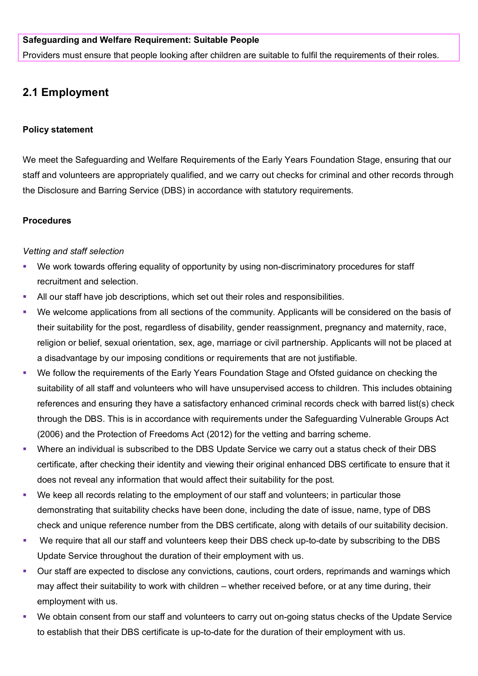### **Safeguarding and Welfare Requirement: Suitable People**

Providers must ensure that people looking after children are suitable to fulfil the requirements of their roles.

# **2.1 Employment**

#### **Policy statement**

We meet the Safeguarding and Welfare Requirements of the Early Years Foundation Stage, ensuring that our staff and volunteers are appropriately qualified, and we carry out checks for criminal and other records through the Disclosure and Barring Service (DBS) in accordance with statutory requirements.

#### **Procedures**

#### *Vetting and staff selection*

- We work towards offering equality of opportunity by using non-discriminatory procedures for staff recruitment and selection.
- All our staff have job descriptions, which set out their roles and responsibilities.
- We welcome applications from all sections of the community. Applicants will be considered on the basis of their suitability for the post, regardless of disability, gender reassignment, pregnancy and maternity, race, religion or belief, sexual orientation, sex, age, marriage or civil partnership. Applicants will not be placed at a disadvantage by our imposing conditions or requirements that are not justifiable.
- We follow the requirements of the Early Years Foundation Stage and Ofsted guidance on checking the suitability of all staff and volunteers who will have unsupervised access to children. This includes obtaining references and ensuring they have a satisfactory enhanced criminal records check with barred list(s) check through the DBS. This is in accordance with requirements under the Safeguarding Vulnerable Groups Act (2006) and the Protection of Freedoms Act (2012) for the vetting and barring scheme.
- Where an individual is subscribed to the DBS Update Service we carry out a status check of their DBS certificate, after checking their identity and viewing their original enhanced DBS certificate to ensure that it does not reveal any information that would affect their suitability for the post.
- We keep all records relating to the employment of our staff and volunteers; in particular those demonstrating that suitability checks have been done, including the date of issue, name, type of DBS check and unique reference number from the DBS certificate, along with details of our suitability decision.
- We require that all our staff and volunteers keep their DBS check up-to-date by subscribing to the DBS Update Service throughout the duration of their employment with us.
- Our staff are expected to disclose any convictions, cautions, court orders, reprimands and warnings which may affect their suitability to work with children – whether received before, or at any time during, their employment with us.
- We obtain consent from our staff and volunteers to carry out on-going status checks of the Update Service to establish that their DBS certificate is up-to-date for the duration of their employment with us.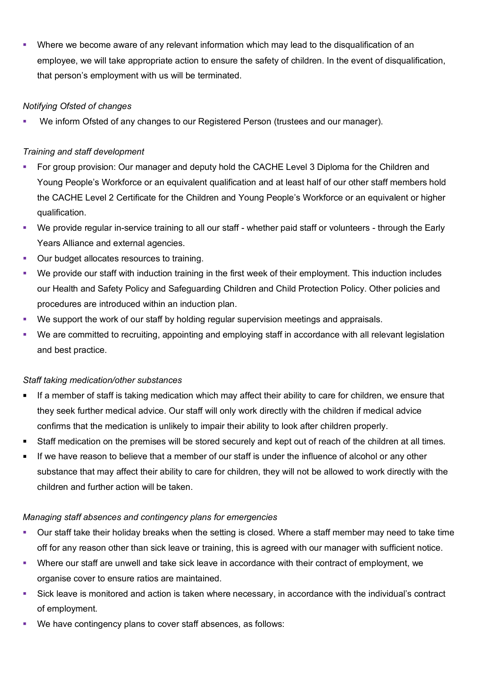Where we become aware of any relevant information which may lead to the disqualification of an employee, we will take appropriate action to ensure the safety of children. In the event of disqualification, that person's employment with us will be terminated.

# *Notifying Ofsted of changes*

We inform Ofsted of any changes to our Registered Person (trustees and our manager).

# *Training and staff development*

- For group provision: Our manager and deputy hold the CACHE Level 3 Diploma for the Children and Young People's Workforce or an equivalent qualification and at least half of our other staff members hold the CACHE Level 2 Certificate for the Children and Young People's Workforce or an equivalent or higher qualification.
- We provide regular in-service training to all our staff whether paid staff or volunteers through the Early Years Alliance and external agencies.
- **Our budget allocates resources to training.**
- We provide our staff with induction training in the first week of their employment. This induction includes our Health and Safety Policy and Safeguarding Children and Child Protection Policy. Other policies and procedures are introduced within an induction plan.
- We support the work of our staff by holding regular supervision meetings and appraisals.
- We are committed to recruiting, appointing and employing staff in accordance with all relevant legislation and best practice.

### *Staff taking medication/other substances*

- If a member of staff is taking medication which may affect their ability to care for children, we ensure that they seek further medical advice. Our staff will only work directly with the children if medical advice confirms that the medication is unlikely to impair their ability to look after children properly.
- Staff medication on the premises will be stored securely and kept out of reach of the children at all times.
- If we have reason to believe that a member of our staff is under the influence of alcohol or any other substance that may affect their ability to care for children, they will not be allowed to work directly with the children and further action will be taken.

### *Managing staff absences and contingency plans for emergencies*

- Our staff take their holiday breaks when the setting is closed. Where a staff member may need to take time off for any reason other than sick leave or training, this is agreed with our manager with sufficient notice.
- Where our staff are unwell and take sick leave in accordance with their contract of employment, we organise cover to ensure ratios are maintained.
- Sick leave is monitored and action is taken where necessary, in accordance with the individual's contract of employment.
- We have contingency plans to cover staff absences, as follows: